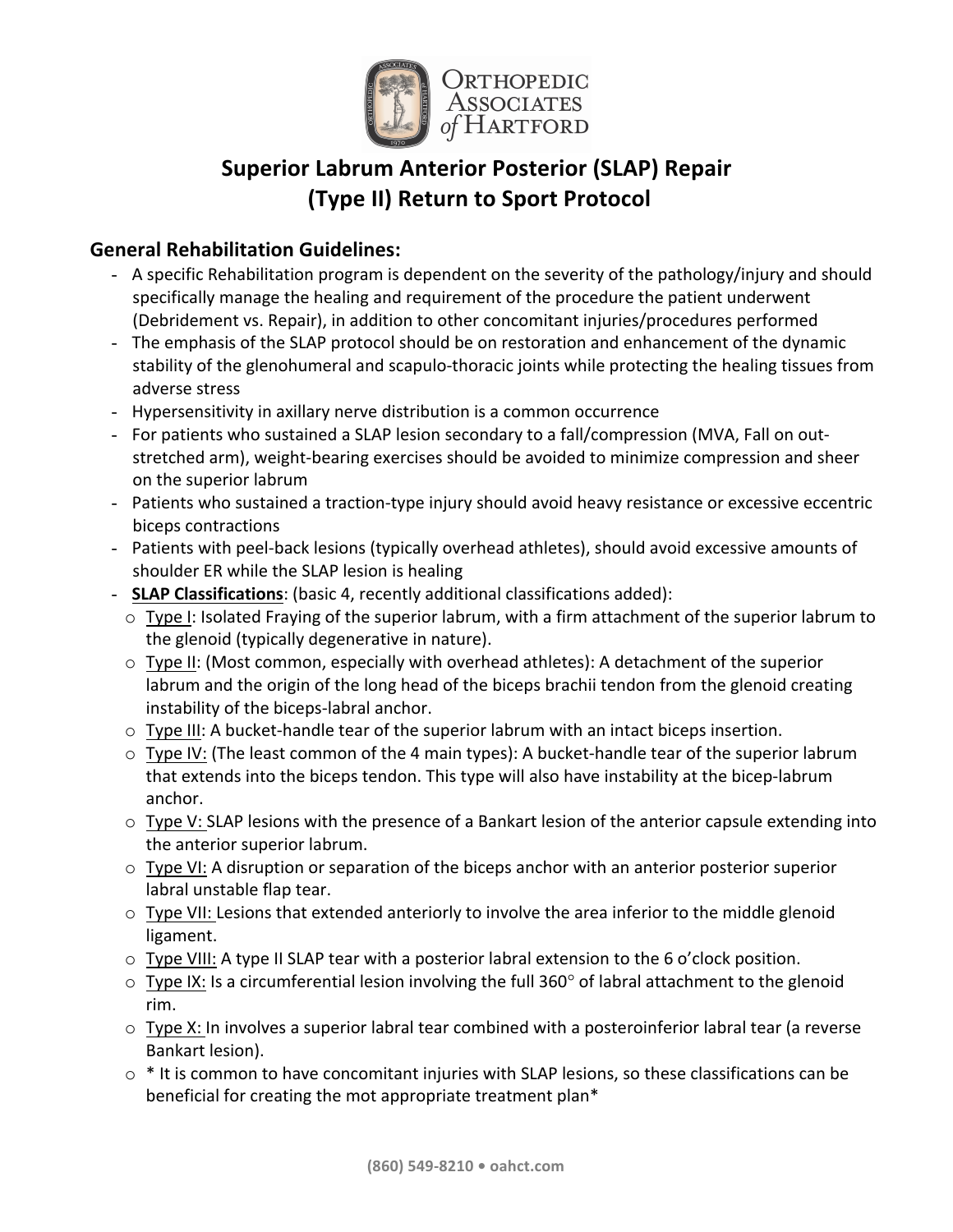

# **Superior Labrum Anterior Posterior (SLAP) Repair (Type II) Return to Sport Protocol**

## **General Rehabilitation Guidelines:**

- A specific Rehabilitation program is dependent on the severity of the pathology/injury and should specifically manage the healing and requirement of the procedure the patient underwent (Debridement vs. Repair), in addition to other concomitant injuries/procedures performed
- The emphasis of the SLAP protocol should be on restoration and enhancement of the dynamic stability of the glenohumeral and scapulo-thoracic joints while protecting the healing tissues from adverse stress
- Hypersensitivity in axillary nerve distribution is a common occurrence
- For patients who sustained a SLAP lesion secondary to a fall/compression (MVA, Fall on outstretched arm), weight-bearing exercises should be avoided to minimize compression and sheer on the superior labrum
- Patients who sustained a traction-type injury should avoid heavy resistance or excessive eccentric biceps contractions
- Patients with peel-back lesions (typically overhead athletes), should avoid excessive amounts of shoulder ER while the SLAP lesion is healing
- **SLAP Classifications**: (basic 4, recently additional classifications added):
	- $\circ$  Type I: Isolated Fraying of the superior labrum, with a firm attachment of the superior labrum to the glenoid (typically degenerative in nature).
	- $\circ$  Type II: (Most common, especially with overhead athletes): A detachment of the superior labrum and the origin of the long head of the biceps brachii tendon from the glenoid creating instability of the biceps-labral anchor.
	- $\circ$  Type III: A bucket-handle tear of the superior labrum with an intact biceps insertion.
	- $\circ$  Type IV: (The least common of the 4 main types): A bucket-handle tear of the superior labrum that extends into the biceps tendon. This type will also have instability at the bicep-labrum anchor.
	- $\circ$  Type V: SLAP lesions with the presence of a Bankart lesion of the anterior capsule extending into the anterior superior labrum.
	- $\circ$  Type VI: A disruption or separation of the biceps anchor with an anterior posterior superior labral unstable flap tear.
	- $\circ$  Type VII: Lesions that extended anteriorly to involve the area inferior to the middle glenoid ligament.
	- $\circ$  Type VIII: A type II SLAP tear with a posterior labral extension to the 6 o'clock position.
	- $\circ$  Type IX: Is a circumferential lesion involving the full 360 $^{\circ}$  of labral attachment to the glenoid rim.
	- $\circ$  Type X: In involves a superior labral tear combined with a posteroinferior labral tear (a reverse Bankart lesion).
	- $\circ$  \* It is common to have concomitant injuries with SLAP lesions, so these classifications can be beneficial for creating the mot appropriate treatment plan\*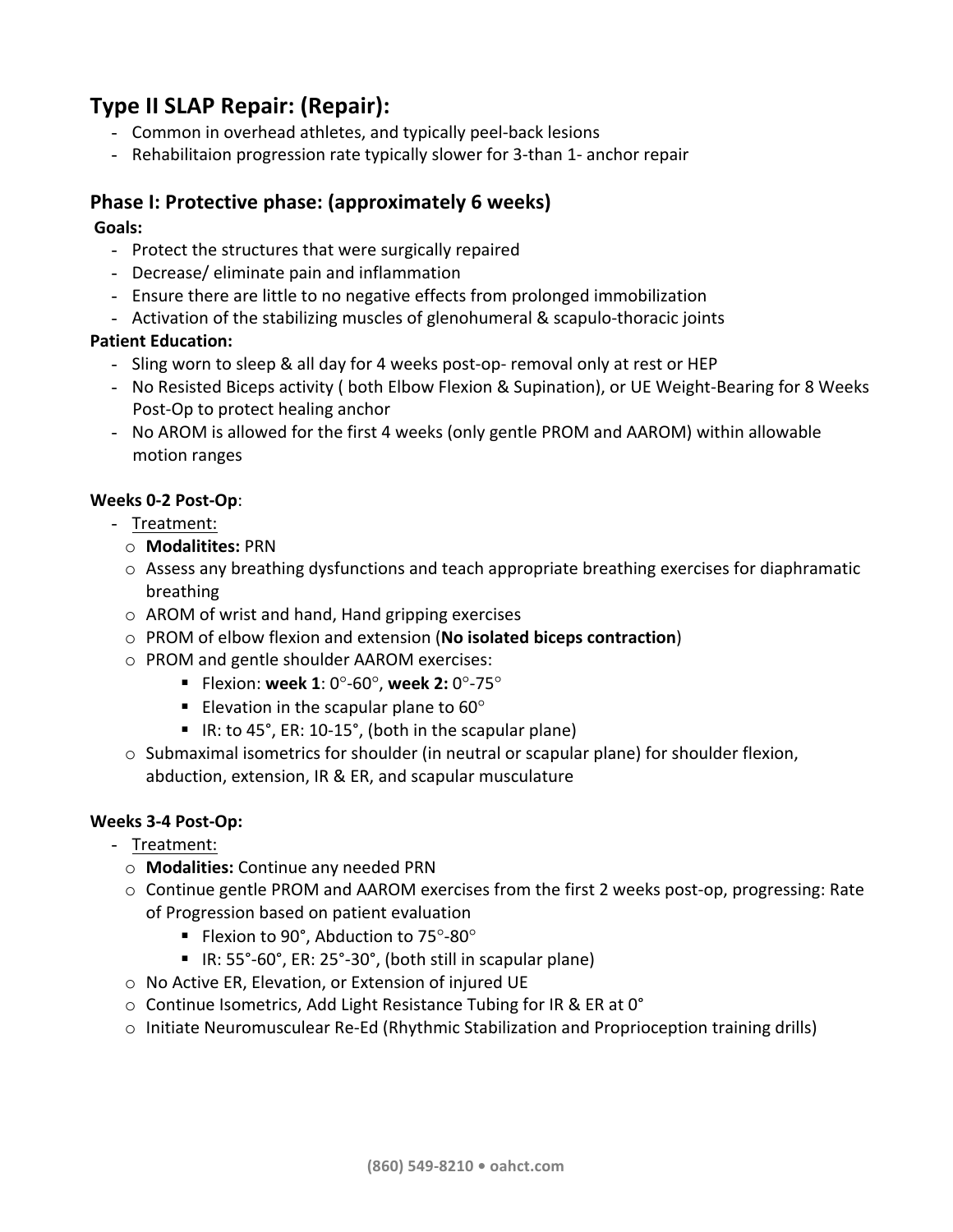## **Type II SLAP Repair: (Repair):**

- Common in overhead athletes, and typically peel-back lesions
- Rehabilitaion progression rate typically slower for 3-than 1- anchor repair

## Phase I: Protective phase: (approximately 6 weeks)

#### **Goals:**

- Protect the structures that were surgically repaired
- Decrease/ eliminate pain and inflammation
- Ensure there are little to no negative effects from prolonged immobilization
- Activation of the stabilizing muscles of glenohumeral & scapulo-thoracic joints

#### **Patient Education:**

- Sling worn to sleep & all day for 4 weeks post-op- removal only at rest or HEP
- No Resisted Biceps activity ( both Elbow Flexion & Supination), or UE Weight-Bearing for 8 Weeks Post-Op to protect healing anchor
- No AROM is allowed for the first 4 weeks (only gentle PROM and AAROM) within allowable motion ranges

#### **Weeks 0-2 Post-Op**:

- Treatment:
	- o **Modalitites:** PRN
	- $\circ$  Assess any breathing dysfunctions and teach appropriate breathing exercises for diaphramatic breathing
	- $\circ$  AROM of wrist and hand, Hand gripping exercises
	- o PROM of elbow flexion and extension (**No isolated biceps contraction**)
	- o PROM and gentle shoulder AAROM exercises:
		- Flexion: week 1: 0°-60°, week 2: 0°-75°
		- Elevation in the scapular plane to  $60^{\circ}$
		- IR: to 45°, ER: 10-15°, (both in the scapular plane)
	- $\circ$  Submaximal isometrics for shoulder (in neutral or scapular plane) for shoulder flexion, abduction, extension, IR & ER, and scapular musculature

#### **Weeks 3-4 Post-Op:**

- Treatment:

- o **Modalities:** Continue any needed PRN
- $\circ$  Continue gentle PROM and AAROM exercises from the first 2 weeks post-op, progressing: Rate of Progression based on patient evaluation
	- Flexion to 90°, Abduction to  $75^{\circ}$ -80°
	- IR:  $55^{\circ}$ -60°, ER:  $25^{\circ}$ -30°, (both still in scapular plane)
- $\circ$  No Active ER, Elevation, or Extension of injured UE
- $\circ$  Continue Isometrics, Add Light Resistance Tubing for IR & ER at 0°
- $\circ$  Initiate Neuromusculear Re-Ed (Rhythmic Stabilization and Proprioception training drills)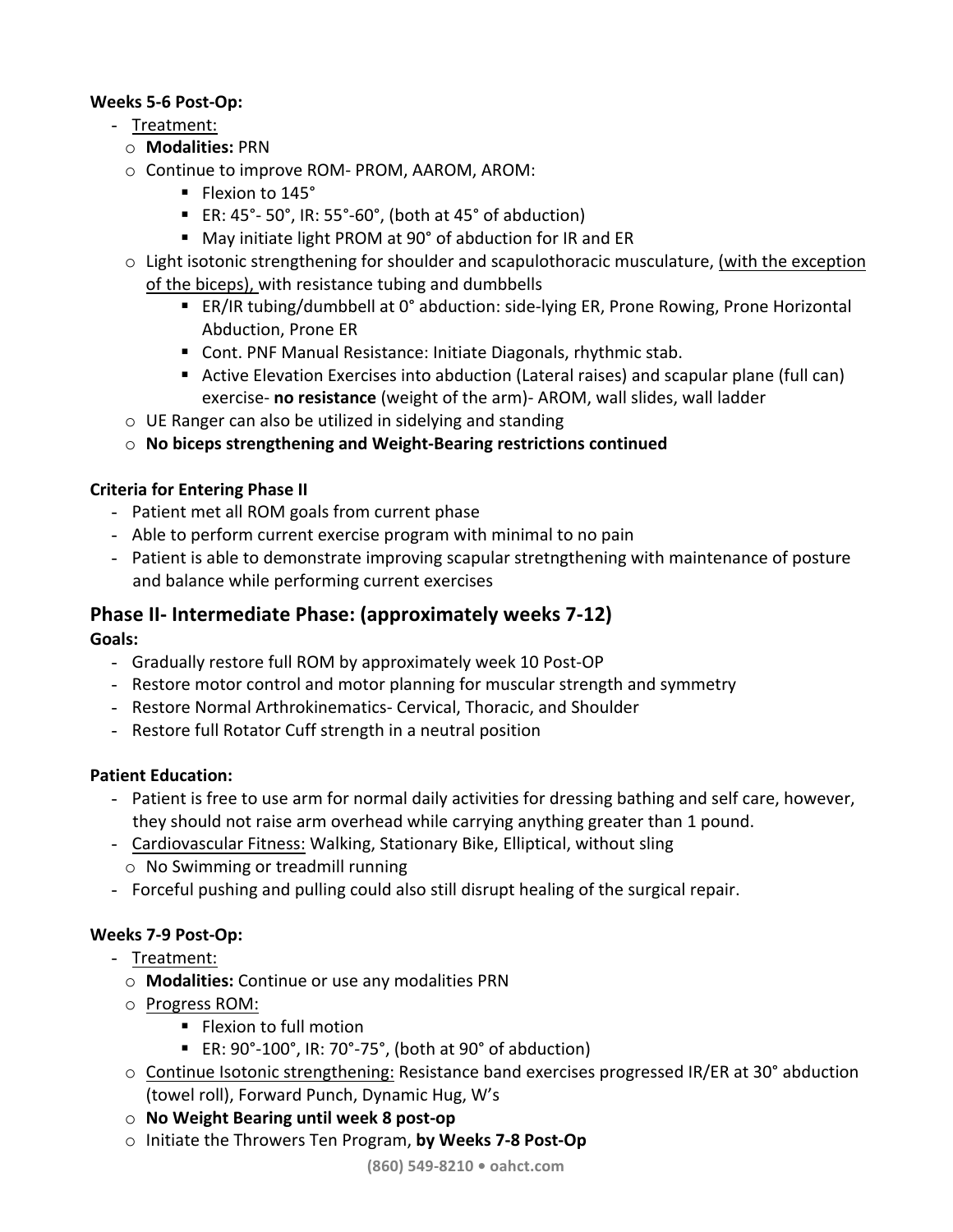#### **Weeks 5-6 Post-Op:**

- Treatment:
	- o **Modalities:** PRN
	- $\circ$  Continue to improve ROM- PROM, AAROM, AROM:
		- Flexion to 145°
		- ER:  $45^\circ$  50°, IR: 55°-60°, (both at 45° of abduction)
		- May initiate light PROM at 90° of abduction for IR and ER
	- $\circ$  Light isotonic strengthening for shoulder and scapulothoracic musculature, (with the exception of the biceps), with resistance tubing and dumbbells
		- ER/IR tubing/dumbbell at 0° abduction: side-lying ER, Prone Rowing, Prone Horizontal Abduction, Prone ER
		- Cont. PNF Manual Resistance: Initiate Diagonals, rhythmic stab.
		- Active Elevation Exercises into abduction (Lateral raises) and scapular plane (full can) exercise- **no resistance** (weight of the arm)- AROM, wall slides, wall ladder
	- $\circ$  UE Ranger can also be utilized in sidelying and standing
	- o **No biceps strengthening and Weight-Bearing restrictions continued**

#### **Criteria for Entering Phase II**

- Patient met all ROM goals from current phase
- Able to perform current exercise program with minimal to no pain
- Patient is able to demonstrate improving scapular stretngthening with maintenance of posture and balance while performing current exercises

## **Phase II-** Intermediate Phase: (approximately weeks 7-12)

**Goals:**

- Gradually restore full ROM by approximately week 10 Post-OP
- Restore motor control and motor planning for muscular strength and symmetry
- Restore Normal Arthrokinematics- Cervical, Thoracic, and Shoulder
- Restore full Rotator Cuff strength in a neutral position

#### **Patient Education:**

- Patient is free to use arm for normal daily activities for dressing bathing and self care, however, they should not raise arm overhead while carrying anything greater than 1 pound.
- Cardiovascular Fitness: Walking, Stationary Bike, Elliptical, without sling  $\circ$  No Swimming or treadmill running
- Forceful pushing and pulling could also still disrupt healing of the surgical repair.

## **Weeks 7-9 Post-Op:**

- Treatment:
	- o **Modalities:** Continue or use any modalities PRN
	- $\circ$  Progress ROM:
		- Flexion to full motion
		- ER:  $90^{\circ}$ -100°, IR: 70°-75°, (both at  $90^{\circ}$  of abduction)
	- $\circ$  Continue Isotonic strengthening: Resistance band exercises progressed IR/ER at 30° abduction (towel roll), Forward Punch, Dynamic Hug, W's
	- o **No Weight Bearing until week 8 post-op**
	- o Initiate the Throwers Ten Program, **by Weeks 7-8 Post-Op**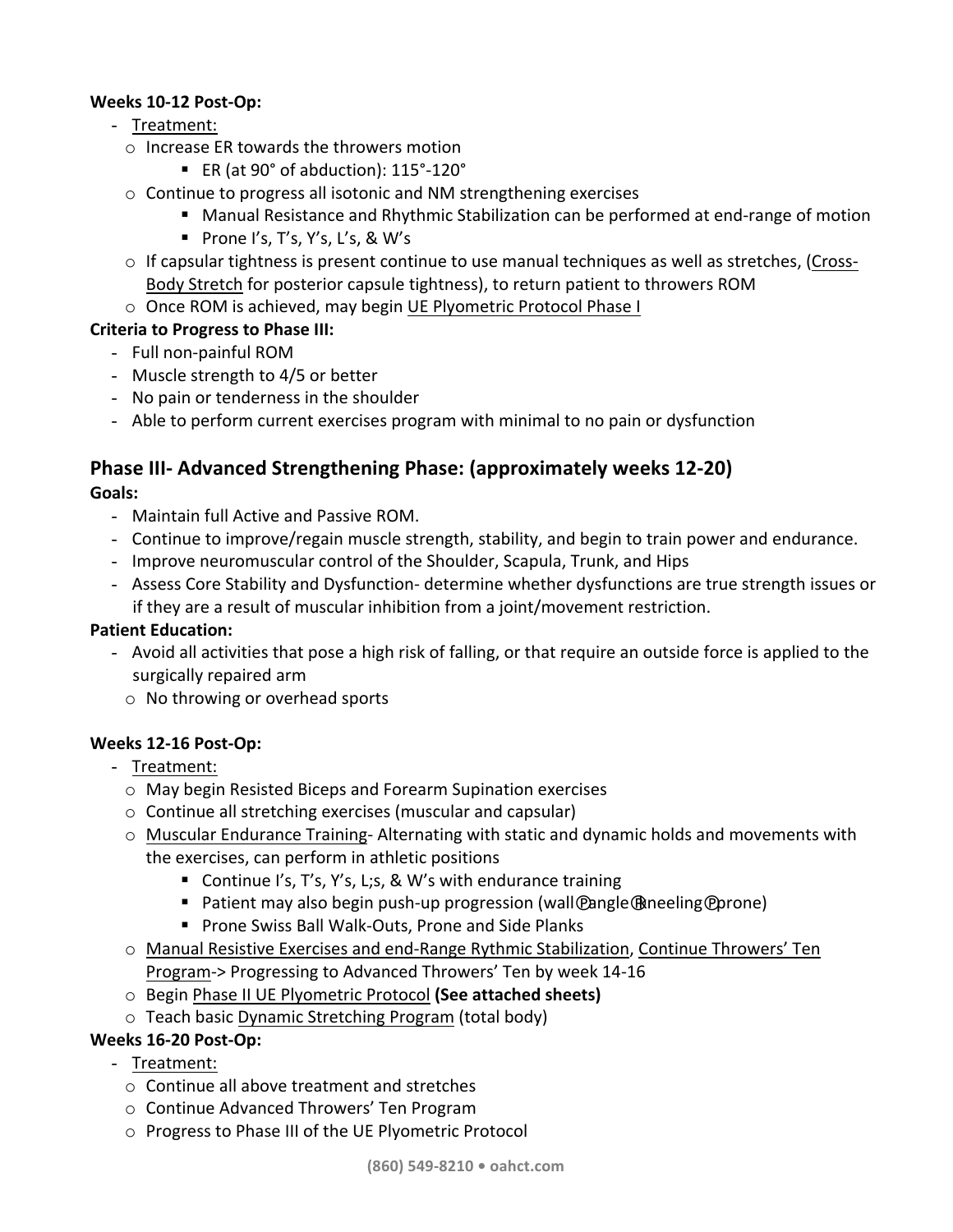#### **Weeks 10-12 Post-Op:**

- Treatment:
	- $\circ$  Increase ER towards the throwers motion
		- ER (at 90° of abduction): 115°-120°
	- $\circ$  Continue to progress all isotonic and NM strengthening exercises
		- Manual Resistance and Rhythmic Stabilization can be performed at end-range of motion
		- **Prone I's, T's, Y's, L's, & W's**
	- $\circ$  If capsular tightness is present continue to use manual techniques as well as stretches, (Cross-Body Stretch for posterior capsule tightness), to return patient to throwers ROM
	- o Once ROM is achieved, may begin UE Plyometric Protocol Phase I

#### **Criteria to Progress to Phase III:**

- Full non-painful ROM
- Muscle strength to 4/5 or better
- No pain or tenderness in the shoulder
- Able to perform current exercises program with minimal to no pain or dysfunction

## **Phase III-** Advanced Strengthening Phase: (approximately weeks 12-20)

#### **Goals:**

- Maintain full Active and Passive ROM.
- Continue to improve/regain muscle strength, stability, and begin to train power and endurance.
- Improve neuromuscular control of the Shoulder, Scapula, Trunk, and Hips
- Assess Core Stability and Dysfunction- determine whether dysfunctions are true strength issues or if they are a result of muscular inhibition from a joint/movement restriction.

#### **Patient Education:**

- Avoid all activities that pose a high risk of falling, or that require an outside force is applied to the surgically repaired arm
	- $\circ$  No throwing or overhead sports

#### **Weeks 12-16 Post-Op:**

- Treatment:
	- o May begin Resisted Biceps and Forearm Supination exercises
	- $\circ$  Continue all stretching exercises (muscular and capsular)
	- $\circ$  Muscular Endurance Training- Alternating with static and dynamic holds and movements with the exercises, can perform in athletic positions
		- Continue I's, T's, Y's, L;s, & W's with endurance training
		- Patient may also begin push-up progression (wall@angle@neeling@prone)
		- Prone Swiss Ball Walk-Outs, Prone and Side Planks
	- o Manual Resistive Exercises and end-Range Rythmic Stabilization, Continue Throwers' Ten Program-> Progressing to Advanced Throwers' Ten by week 14-16
	- o Begin Phase II UE Plyometric Protocol **(See attached sheets)**
	- $\circ$  Teach basic Dynamic Stretching Program (total body)

#### **Weeks 16-20 Post-Op:**

- Treatment:
	- $\circ$  Continue all above treatment and stretches
	- o Continue Advanced Throwers' Ten Program
	- o Progress to Phase III of the UE Plyometric Protocol